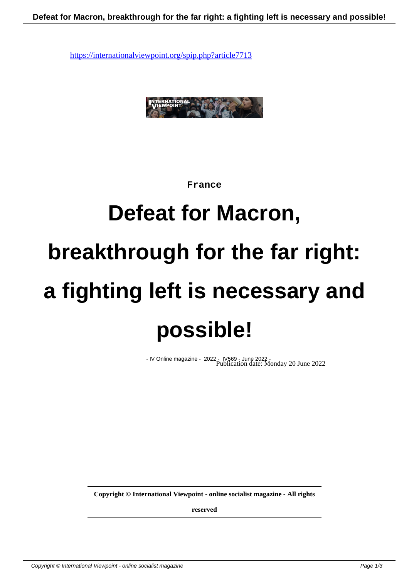

## **France**

## **Defeat for Macron, breakthrough for the far right: a fighting left is necessary and possible!**

- IV Online magazine - 2022 - IV569 - June 2022 - Publication date: Monday 20 June 2022

**Copyright © International Viewpoint - online socialist magazine - All rights**

**reserved**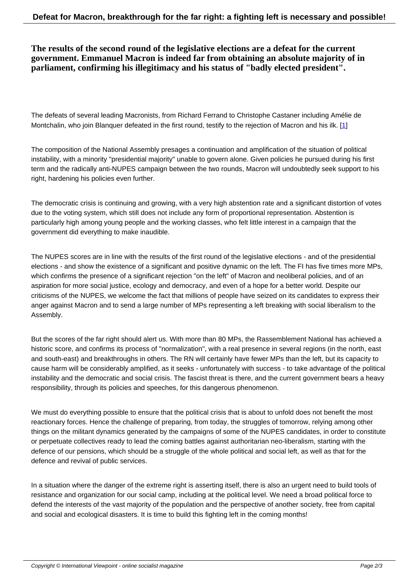**The results of the second round of the legislative elections are a defeat for the current government. Emmanuel Macron is indeed far from obtaining an absolute majority of in parliament, confirming his illegitimacy and his status of "badly elected president".**

The defeats of several leading Macronists, from Richard Ferrand to Christophe Castaner including Amélie de Montchalin, who join Blanquer defeated in the first round, testify to the rejection of Macron and his ilk. [1]

The composition of the National Assembly presages a continuation and amplification of the situation of political instability, with a minority "presidential majority" unable to govern alone. Given policies he pursued dur[in](#nb1)g his first term and the radically anti-NUPES campaign between the two rounds, Macron will undoubtedly seek support to his right, hardening his policies even further.

The democratic crisis is continuing and growing, with a very high abstention rate and a significant distortion of votes due to the voting system, which still does not include any form of proportional representation. Abstention is particularly high among young people and the working classes, who felt little interest in a campaign that the government did everything to make inaudible.

The NUPES scores are in line with the results of the first round of the legislative elections - and of the presidential elections - and show the existence of a significant and positive dynamic on the left. The FI has five times more MPs, which confirms the presence of a significant rejection "on the left" of Macron and neoliberal policies, and of an aspiration for more social justice, ecology and democracy, and even of a hope for a better world. Despite our criticisms of the NUPES, we welcome the fact that millions of people have seized on its candidates to express their anger against Macron and to send a large number of MPs representing a left breaking with social liberalism to the Assembly.

But the scores of the far right should alert us. With more than 80 MPs, the Rassemblement National has achieved a historic score, and confirms its process of "normalization", with a real presence in several regions (in the north, east and south-east) and breakthroughs in others. The RN will certainly have fewer MPs than the left, but its capacity to cause harm will be considerably amplified, as it seeks - unfortunately with success - to take advantage of the political instability and the democratic and social crisis. The fascist threat is there, and the current government bears a heavy responsibility, through its policies and speeches, for this dangerous phenomenon.

We must do everything possible to ensure that the political crisis that is about to unfold does not benefit the most reactionary forces. Hence the challenge of preparing, from today, the struggles of tomorrow, relying among other things on the militant dynamics generated by the campaigns of some of the NUPES candidates, in order to constitute or perpetuate collectives ready to lead the coming battles against authoritarian neo-liberalism, starting with the defence of our pensions, which should be a struggle of the whole political and social left, as well as that for the defence and revival of public services.

In a situation where the danger of the extreme right is asserting itself, there is also an urgent need to build tools of resistance and organization for our social camp, including at the political level. We need a broad political force to defend the interests of the vast majority of the population and the perspective of another society, free from capital and social and ecological disasters. It is time to build this fighting left in the coming months!